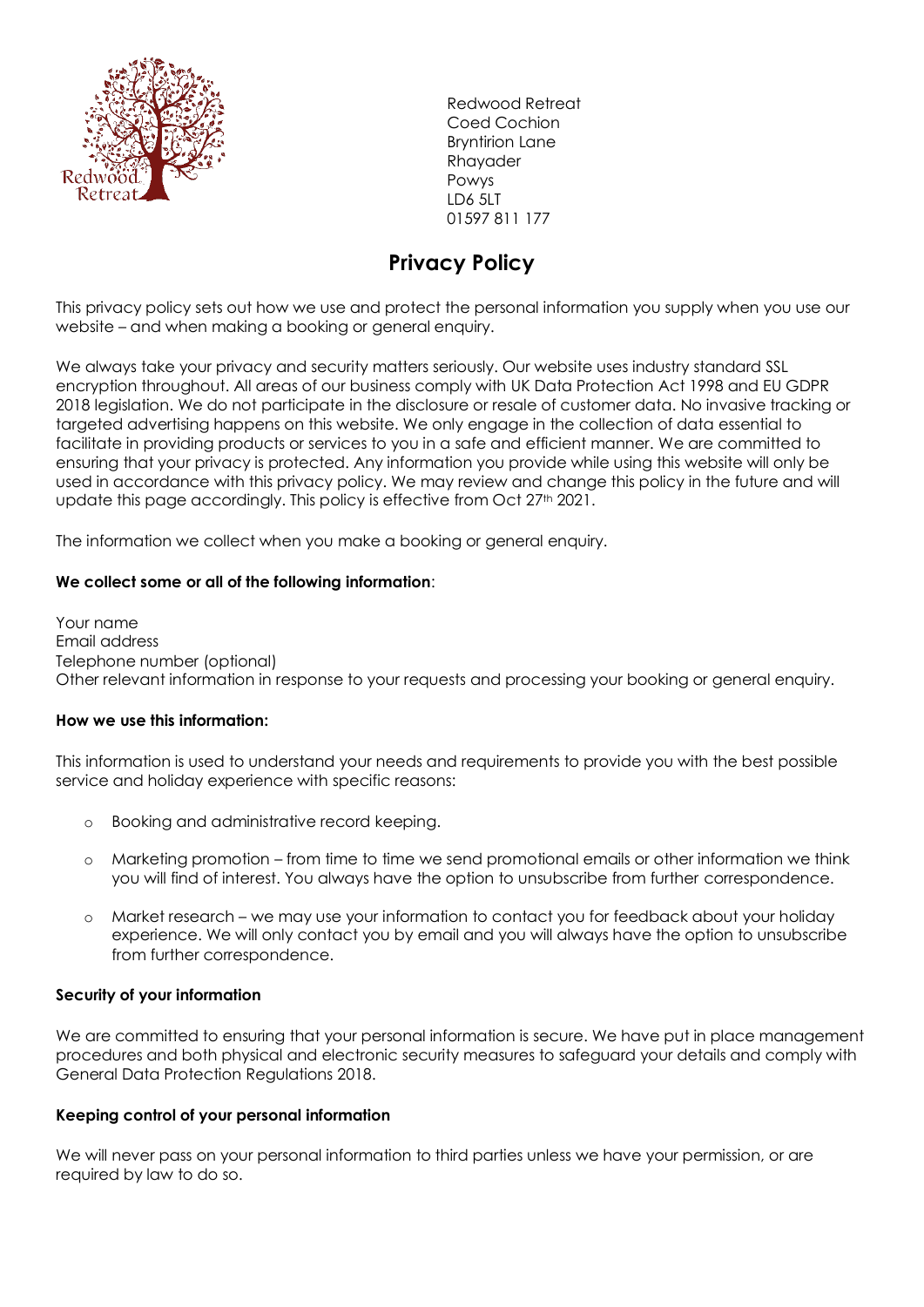

Redwood Retreat Coed Cochion Bryntirion Lane Rhayader Powys LD6 5LT 01597 811 177

# **Privacy Policy**

This privacy policy sets out how we use and protect the personal information you supply when you use our website – and when making a booking or general enquiry.

We always take your privacy and security matters seriously. Our website uses industry standard SSL encryption throughout. All areas of our business comply with UK Data Protection Act 1998 and EU GDPR 2018 legislation. We do not participate in the disclosure or resale of customer data. No invasive tracking or targeted advertising happens on this website. We only engage in the collection of data essential to facilitate in providing products or services to you in a safe and efficient manner. We are committed to ensuring that your privacy is protected. Any information you provide while using this website will only be used in accordance with this privacy policy. We may review and change this policy in the future and will update this page accordingly. This policy is effective from Oct 27<sup>th</sup> 2021.

The information we collect when you make a booking or general enquiry.

## **We collect some or all of the following information**:

Your name Email address Telephone number (optional) Other relevant information in response to your requests and processing your booking or general enquiry.

#### **How we use this information:**

This information is used to understand your needs and requirements to provide you with the best possible service and holiday experience with specific reasons:

- o Booking and administrative record keeping.
- o Marketing promotion from time to time we send promotional emails or other information we think you will find of interest. You always have the option to unsubscribe from further correspondence.
- o Market research we may use your information to contact you for feedback about your holiday experience. We will only contact you by email and you will always have the option to unsubscribe from further correspondence.

#### **Security of your information**

We are committed to ensuring that your personal information is secure. We have put in place management procedures and both physical and electronic security measures to safeguard your details and comply with General Data Protection Regulations 2018.

#### **Keeping control of your personal information**

We will never pass on your personal information to third parties unless we have your permission, or are required by law to do so.